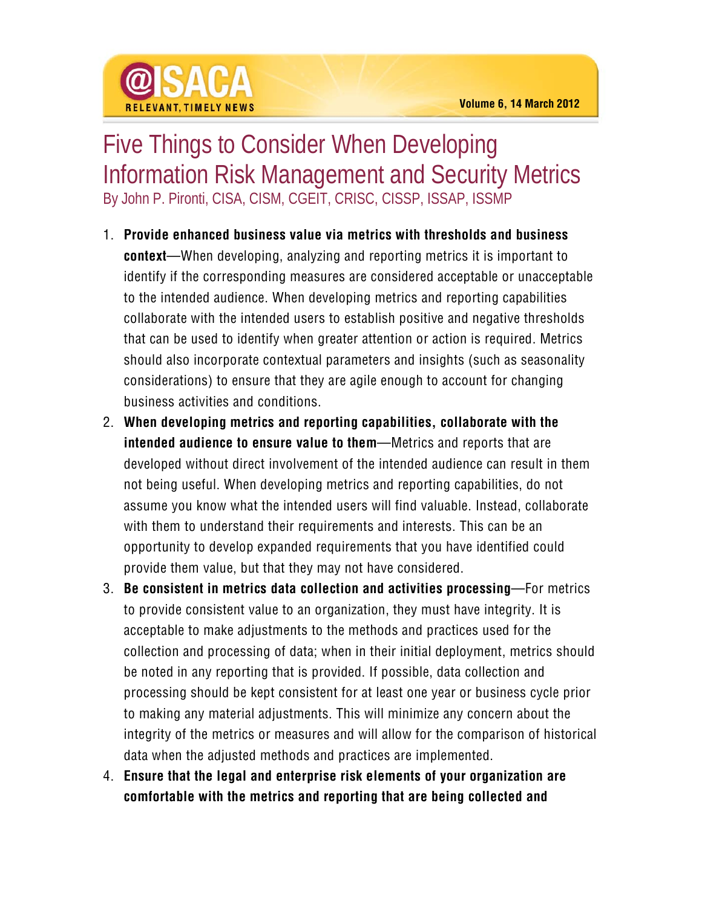## Five Things to Consider When Developing Information Risk Management and Security Metrics By John P. Pironti, CISA, CISM, CGEIT, CRISC, CISSP, ISSAP, ISSMP

- 1. **Provide enhanced business value via metrics with thresholds and business context**—When developing, analyzing and reporting metrics it is important to identify if the corresponding measures are considered acceptable or unacceptable to the intended audience. When developing metrics and reporting capabilities collaborate with the intended users to establish positive and negative thresholds that can be used to identify when greater attention or action is required. Metrics should also incorporate contextual parameters and insights (such as seasonality considerations) to ensure that they are agile enough to account for changing business activities and conditions.
- 2. **When developing metrics and reporting capabilities, collaborate with the intended audience to ensure value to them**—Metrics and reports that are developed without direct involvement of the intended audience can result in them not being useful. When developing metrics and reporting capabilities, do not assume you know what the intended users will find valuable. Instead, collaborate with them to understand their requirements and interests. This can be an opportunity to develop expanded requirements that you have identified could provide them value, but that they may not have considered.
- 3. **Be consistent in metrics data collection and activities processing**—For metrics to provide consistent value to an organization, they must have integrity. It is acceptable to make adjustments to the methods and practices used for the collection and processing of data; when in their initial deployment, metrics should be noted in any reporting that is provided. If possible, data collection and processing should be kept consistent for at least one year or business cycle prior to making any material adjustments. This will minimize any concern about the integrity of the metrics or measures and will allow for the comparison of historical data when the adjusted methods and practices are implemented.
- 4. **Ensure that the legal and enterprise risk elements of your organization are comfortable with the metrics and reporting that are being collected and**